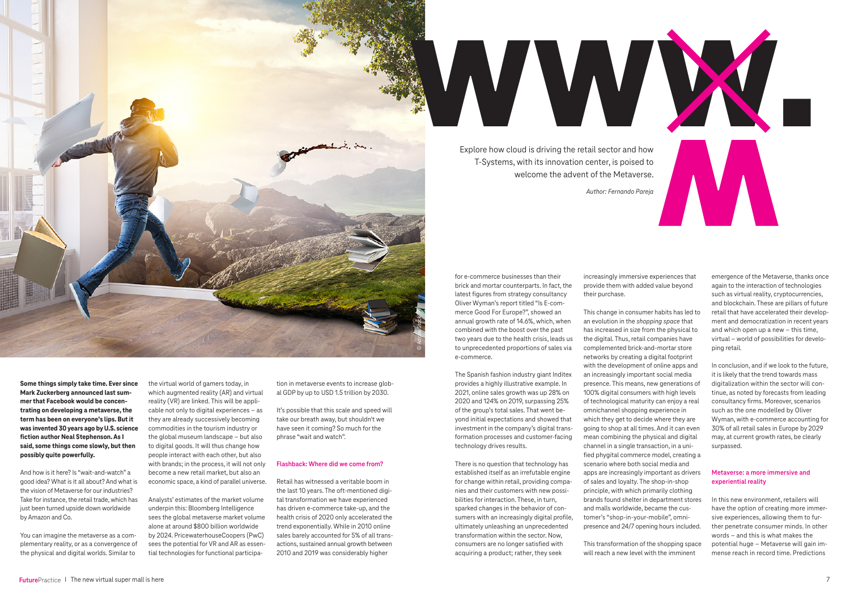**Some things simply take time. Ever since Mark Zuckerberg announced last summer that Facebook would be concentrating on developing a metaverse, the term has been on everyone's lips. But it was invented 30 years ago by U.S. science fiction author Neal Stephenson. As I said, some things come slowly, but then possibly quite powerfully.** 

And how is it here? Is "wait-and-watch" a good idea? What is it all about? And what is the vision of Metaverse for our industries? Take for instance, the retail trade, which has just been turned upside down worldwide by Amazon and Co.

You can imagine the metaverse as a complementary reality, or as a convergence of the physical and digital worlds. Similar to

It's possible that this scale and speed will take our breath away, but shouldn't we have seen it coming? So much for the phrase "wait and watch".

the virtual world of gamers today, in which augmented reality (AR) and virtual reality (VR) are linked. This will be applicable not only to digital experiences – as they are already successively becoming commodities in the tourism industry or the global museum landscape – but also to digital goods. It will thus change how people interact with each other, but also with brands; in the process, it will not only become a new retail market, but also an economic space, a kind of parallel universe.

Analysts' estimates of the market volume underpin this: Bloomberg Intelligence sees the global metaverse market volume alone at around \$800 billion worldwide by 2024. PricewaterhouseCoopers (PwC) sees the potential for VR and AR as essential technologies for functional participa-

tion in metaverse events to increase global GDP by up to USD 1.5 trillion by 2030.

### **Flashback: Where did we come from?**

Retail has witnessed a veritable boom in the last 10 years. The oft-mentioned digital transformation we have experienced has driven e-commerce take-up, and the health crisis of 2020 only accelerated the trend exponentially. While in 2010 online sales barely accounted for 5% of all transactions, sustained annual growth between 2010 and 2019 was considerably higher

for e-commerce businesses than their brick and mortar counterparts. In fact, the latest figures from strategy consultancy Oliver Wyman's report titled "Is E-commerce Good For Europe?", showed an annual growth rate of 14.6%, which, when combined with the boost over the past two years due to the health crisis, leads us to unprecedented proportions of sales via e-commerce.

The Spanish fashion industry giant Inditex provides a highly illustrative example. In 2021, online sales growth was up 28% on 2020 and 124% on 2019, surpassing 25% of the group's total sales. That went beyond initial expectations and showed that investment in the company's digital transformation processes and customer-facing technology drives results.

There is no question that technology has established itself as an irrefutable engine for change within retail, providing companies and their customers with new possibilities for interaction. These, in turn, sparked changes in the behavior of consumers with an increasingly digital profile, ultimately unleashing an unprecedented transformation within the sector. Now, consumers are no longer satisfied with acquiring a product; rather, they seek

increasingly immersive experiences that provide them with added value beyond their purchase.

This change in consumer habits has led to an evolution in the *shopping space* that has increased in size from the physical to the digital. Thus, retail companies have complemented brick-and-mortar store networks by creating a digital footprint with the development of online apps and an increasingly important social media presence. This means, new generations of 100% digital consumers with high levels of technological maturity can enjoy a real omnichannel shopping experience in which they get to decide where they are going to shop at all times. And it can even mean combining the physical and digital channel in a single transaction, in a unified phygital commerce model, creating a scenario where both social media and apps are increasingly important as drivers of sales and loyalty. The shop-in-shop principle, with which primarily clothing brands found shelter in department stores and malls worldwide, became the customer's "shop-in-your-mobile", omnipresence and 24/7 opening hours included.

This transformation of the shopping space will reach a new level with the imminent

emergence of the Metaverse, thanks once again to the interaction of technologies such as virtual reality, cryptocurrencies, and blockchain. These are pillars of future retail that have accelerated their development and democratization in recent years and which open up a new – this time, virtual – world of possibilities for developing retail.

In conclusion, and if we look to the future, it is likely that the trend towards mass digitalization within the sector will continue, as noted by forecasts from leading consultancy firms. Moreover, scenarios such as the one modelled by Oliver Wyman, with e-commerce accounting for 30% of all retail sales in Europe by 2029 may, at current growth rates, be clearly surpassed.

# **Metaverse: a more immersive and experiential reality**

In this new environment, retailers will have the option of creating more immersive experiences, allowing them to further penetrate consumer minds. In other words – and this is what makes the potential huge – Metaverse will gain immense reach in record time. Predictions



Explore how cloud is driving the retail sector and how T-Systems, with its innovation center, is poised to welcome the advent of the Metaverse.

*Author: Fernando Pareja*